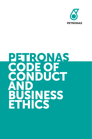

# PETRONAS<br>CODE OF<br>CONDUCT **BUSINESS**<br>ETHICS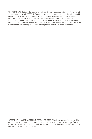The PETRONAS Code of Conduct and Business Ethics is a general reference for use in all the countries in which PETRONAS conducts operations. It does not describe all applicable laws or PETRONAS policies, or give full details on any particular law or policy. It does not constitute legal advice. It does not constitute or create a contract of employment. PETRONAS reserves the right to modify, revise, cancel or waive any policy, procedure or condition without notice and without revision of the Code. Moreover, the provisions of the Code may be modified by PETRONAS to adapt them tolocal laws and conditions.

©PETROLIAM NASIONAL BERHAD (PETRONAS) 2013. All rights reserved. No part of this document may be reproduced, stored in a retrieval system or transmitted in any form or by any means (electronic, mechanical, photocopying, recording or otherwise) without the permission of the copyright owner.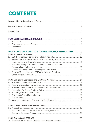# **CONTENTS**

| 1.          |                                                                     |  |
|-------------|---------------------------------------------------------------------|--|
| 2.          |                                                                     |  |
| 3.          |                                                                     |  |
|             | PART II: DUTIES OF GOOD FAITH, FIDELITY, DILIGENCE AND INTEGRITY  9 |  |
|             |                                                                     |  |
| $1_{\cdot}$ |                                                                     |  |
| 2.          | Involvement in Business Where You or Your Family/Household          |  |
|             |                                                                     |  |
| 3.          | Illustrative Examples of Where Conflict of Interest Arises and      |  |
|             |                                                                     |  |
| 4.          |                                                                     |  |
| 5.          | Personal Transactions with PETRONAS' Clients, Suppliers,            |  |
|             |                                                                     |  |
|             |                                                                     |  |
| 6.          |                                                                     |  |
| 7.          |                                                                     |  |
| 8.          |                                                                     |  |
| 9.          |                                                                     |  |
|             |                                                                     |  |
|             |                                                                     |  |
|             |                                                                     |  |
|             |                                                                     |  |
|             |                                                                     |  |
|             |                                                                     |  |
|             | 15. Export and Import Controls, International Boycotts and          |  |
|             |                                                                     |  |
|             |                                                                     |  |
|             |                                                                     |  |
|             |                                                                     |  |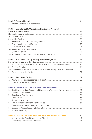|    | Part II F: Confidentiality Obligations/Intellectual Property/                   |  |
|----|---------------------------------------------------------------------------------|--|
|    |                                                                                 |  |
|    |                                                                                 |  |
|    |                                                                                 |  |
|    |                                                                                 |  |
|    |                                                                                 |  |
|    |                                                                                 |  |
|    |                                                                                 |  |
|    |                                                                                 |  |
|    |                                                                                 |  |
|    |                                                                                 |  |
|    |                                                                                 |  |
|    |                                                                                 |  |
|    | 28. Public Service, Recreational, Sports, Union and Community Activities30      |  |
|    |                                                                                 |  |
|    | 30. Prohibition of Action as Editor of Newspapers or Any Form of Publication 31 |  |
|    |                                                                                 |  |
|    |                                                                                 |  |
|    |                                                                                 |  |
|    |                                                                                 |  |
|    |                                                                                 |  |
| 1. | Significance of Safe, Secure and Conducive Workplace Environment36              |  |
| 2. |                                                                                 |  |
| 3. |                                                                                 |  |
| 4. |                                                                                 |  |
| 5. |                                                                                 |  |
| 6. |                                                                                 |  |
| 7. |                                                                                 |  |
| 8. |                                                                                 |  |
| 9. |                                                                                 |  |
|    | <b>PART IV: DISCIPLINE, DISCIPLINARY PROCESS AND SANCTIONS  41</b>              |  |
| 1. |                                                                                 |  |
| 2. |                                                                                 |  |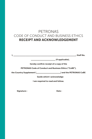# PETRONAS CODE OF CONDUCT AND BUSINESS ETHICS RECEIPT AND ACKNOWLEDGEMENT

I, \_\_\_\_\_\_\_\_\_\_\_\_\_\_\_\_\_\_\_\_\_\_\_\_\_\_\_\_\_\_\_\_\_\_\_\_\_\_\_\_\_\_\_\_\_\_\_\_\_\_\_, Staf No.

\_\_\_\_\_\_\_\_\_\_\_\_\_\_\_\_\_\_\_\_ (if applicable),

hereby confirm receipt of a copy of the

PETRONAS Code of Conduct and Business Ethics ("CoBE"),

the Country Supplement (\_\_\_\_\_\_\_\_\_\_\_\_\_\_\_\_\_\_\_\_) and the PETRONAS CoBE

Guide which I acknowledge

I am required to read and follow.

Signature : The Solution of the Date : Date :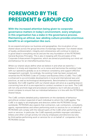# FOREWORD BY THE PRESIDENT & GROUP CEO

With the increased attention being given to corporate governance matters in today's environment, every employee in this organisation has a stake in the governance process. Maintaining an ethical, law-abiding culture provides enormous benefit to an organisation like ours.

As we expand and grow our business and geographies, the inculcation of our shared values across the group becomes increasingly important. Our shared values of loyalty, professionalism, integrity and cohesiveness will continue to stand us in good stead in everything we do and are the very foundation of the PETRONAS General Business Principles. This is also in keeping with the principles of the Corporate Enhancement Programme, which are aimed at positioning our mind-set and behaviour for an intensified business focus.

Whilst our shared values define what we believe in and what we stand for, I believe it is timely and important for us to revise and harmonise the existing Code with our operations globally so as to enhance consistency and support efective management oversight. Accordingly, the existing Code has been revised and renamed the PETRONAS Code of Conduct and Business Ethics (CoBE). This CoBE is enhanced to accommodate developments in local and international laws and practices, as well as technological developments. Benchmarked to international standards, the CoBE together with our shared values will serve as a guiding beacon concerning how all of us are expected to conduct ourselves in our work. The CoBE will not only promote legal and procedural compliance, but it will also provide a moral compass to ensure that our individual behaviour is in line with the PETRONAS Shared Values.

The CoBE contains detailed policy statements on the standards of behaviour and ethical conduct expected of each individual to whom the CoBE applies. The CoBE is to apply to all employees and directors within the PETRONAS Group worldwide. PETRONAS also expects that contractors, sub-contractors, consultants, agents, representatives and others performing work or services for or on behalf of PETRONAS will comply with the relevant parts of the CoBE when performing such work or services. In particular, the CoBE expressly prohibits improper solicitation, bribery and other corrupt activity not only by employees and directors but also by third parties performing work or services for or on behalf of companies in the PETRONAS Group.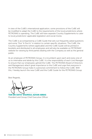In view of the CoBE's international application, some provisions of the CoBE will be modified to adapt the CoBE to the requirements of the local jurisdictions where PETRONAS is operating. The CoBE will have separate Country Supplements to cater to local jurisdictions' applicable legislation and social mores.

The CoBE is accompanied by a CoBE Guide that sets out frequently asked questions and some "Dos" & Don'ts" in relation to certain specific situations. The CoBE, the Country Supplements (where applicable) and the CoBE Guide will be printed in booklets and distributed to all employees and will also be available on PETRONAS' website for viewing by third parties dealing with the Company as well as the general public.

As an employee of PETRONAS Group, it is incumbent upon each and every one of us to internalise and abide by this CoBE. It is the responsibility of each Line Manager to ensure that our employees uphold the CoBE. The PETRONAS Board of Directors and Management attach great importance to the CoBE and urge that everyone in the PETRONAS Group make it a personal commitment to follow the CoBE. With this, I hereby launch the new CoBE and the CoBE Guide for the PETRONAS Group.

Best Regards,

............................................................

TAN SRI DATO' SHAMSUL AZHAR ABBAS President and Group Chief Executive Officer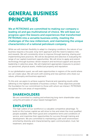# GENERAL BUSINESS PRINCIPLES

We at PETRONAS are committed to making our company a leading oil and gas multinational of choice. We will base our progress upon the lessons and experiences that transformed PETRONAS into a versatile business entity, meeting the challenges of the new millennium, and maintaining the unique characteristics of a national petroleum company.

While we will maintain flexibility to adapt to changing conditions, the nature of our business requires a focused, long-term approach and the need to balance risks and rewards. We will consistently strive to improve through learning, sharing and implementing best practices. We will be disciplined and selective in evaluating the range of our capital investment opportunities. We will strive to apply and extend technology through business-driven research and technical support and assume leadership in selective areas. We will implement appropriate measures to protect our personnel, physical assets, intellectual property and reputation.

In our globalisation quest, we will seek opportunities in regions of the world where we can create value. We will work with existing and new partners who share our values, philosophy and business approach.

To this end, we aspire to achieve superior financial and operating results while adhering to the highest standards of business conduct. These objectives provide the foundation for our commitment to those with whom we interact. PETRONAS recognises five core areas of responsibility:

## SHAREHOLDERS

We are committed to creating and enhancing long-term shareholder value using the principles of value-based management.

## EMPLOYEES

The high calibre of our workforce is a valuable competitive advantage. To build on this human capital we will strive to hire and retain the most qualified people available, offer them good and competitive terms and conditions of service, and maximise their opportunities for success through training and development. We are committed to maintaining a safe work environment enriched by diversity and characterised by open communication, trust, fair treatment, and respect.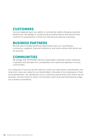## CUSTOMERS

Success depends upon our ability to consistently satisfy changing customer preferences. We pledge to continuously provide products and services that conform to requirements of both our internal and external customers.

## BUSINESS PARTNERS

We will seek mutually beneficial relationships with our counterparts, contractors, suppliers, financial institutions, and other entities with whom we do business.

## **COMMUNITIES**

We pledge that PETRONAS will be a responsible corporate citizen wherever it operates and will take into consideration the needs and aspiration of local communities.

Our measures of success are the extent to which we meet these commitments, the long-term value we create for our shareholders, the pride of our employees in their accomplishments, the satisfaction of our customers and all those with whom we do business, and the extent to which communities, both local and international, judge our activities as beneficial.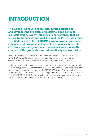# INTRODUCTION

This Code of Conduct and Business Ethics emphasizes and advances the principles of discipline, good conduct, professionalism, loyalty, integrity and cohesiveness that are critical to the success and well-being of the PETRONAS group. This Code is part of the PETRONAS group's overall corporate enhancement programme. It reflects the increasing need for efective corporate governance compliance measures in the conduct of the group's business domestically and worldwide.

Your compliance with and support for the letter and spirit of this Code is vital to PETRONAS' continued success. Your failure to comply may have severe consequences for the group and may result in disciplinary action against you.

In the event of any doubts or questions concerning the application or interpretation of this Code, please seek advice from your Head of Department, Human Resource Department or Legal Department, or the PETRONAS group Corporate Governance and International Compliance Unit of the Legal Division ("CGIC"). You may also refer to the "PETRONAS CoBE Guide," which provides illustrative guidance concerning the application of the Code in a variety of practical situations.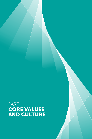# PART I CORE VALUES AND CULTURE

PETRONAS CODE OF CONDUCT AND BUSINESS ETHICS 3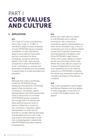# PART I CORE VALUES AND CULTURE

#### 1. APPLICATION

#### 1.1.

This Code of Conduct and Business Ethics (the "Code" or "CoBE") is intended to apply to every employee of every PETRONAS group company worldwide. It is also intended to apply to every director (executive and non-executive) for those companies, except as otherwise stated in this Code. Joint venture companies in which PETRONAS is a non-controlling co-venturer and associated companies are encouraged to adopt these or similar principles and standards.

#### 1.2.

Although this Code is specifically written for PETRONAS group employees and directors, PETRONAS expects that contractors, subcontractors, consultants, agents, representatives and others performing work or services for or on behalf of PETRONAS group companies will comply with it in relevant part when performing such work or services. Failure by a contractor, sub-contractor, consultant, agent, representative or other service provider to comply with the principles and standards set out in this Code may result in the termination of the non-complying party's relationship with PETRONAS and other adverse consequences.

#### 1.3.

Where this Code calls for a report to a PETRONAS unit or official. contractors, sub-contractors, consultants, agents, representatives or other service providers may, in lieu of contacting such unit or official, instead contact the Corporate Governance and International Compliance Unit of the PETRONAS Legal Division (CGIC), the contact details for which are set out at the back of this Code. Where this Code calls for a report to a Head of Department or the head of an operating unit to be made by a director of a PETRONAS company, the report may instead be made to the company secretary for the relevant company.

#### 1.4.

This Code is prepared in both English and Bahasa Malaysia, and may appear in other languages. In the event of a conflict, the English version will govern.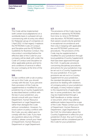Duties of Good Faith, Fidelity, Diligence and **Integrity** 

**Environment** 

Workplace Culture and Discipline, Disciplinary Process and Sanctions

#### 1.5.

This Code will be implemented (with certain local adaptations) on a worldwide basis in a phased roll out, commencing with its entry into efect for Malaysian group of companies on 1 April 2012. In that regard, it replaces the PETRONAS Code of Conduct and Discipline and the PETRONAS Guidelines for Business Conduct. Any misconduct committed before the efective date of this Code for your company will be dealt with under the Code of Conduct and Discipline (or other applicable policies and terms and conditions of service) in efect for your company at the time of the misconduct.

#### 1.6.

If a law conflicts with a rule or policy set out in this Code, you should comply with the law. If you perceive that a provision of this Code (as supplemented or modified for your jurisdiction by a Country Supplement, as described below) conflicts with the law in your jurisdiction, you should consult with your Head of Department, Human Resource Department or Legal Department, rather than disregard the Code without consultation. However, if a local custom or policy conflicts with this Code, you are called upon to comply with this Code. If you have any questions about any of these conflicts, please consult your Head of Department, Human Resource Department or Legal Department.

#### 1.7.

The provisions of this Code may be amended or waived by PETRONAS from time-to-time in PETRONAS' sole discretion. PETRONAS expects that waivers would only be granted in exceptional circumstances and then only in keeping with applicable law and PETRONAS' policies and procedures. The provisions of this Code may be supplemented or modified for your jurisdiction through local guidelines (Country Supplement) that have been approved through the CGIC. In particular, provisions concerning disciplinary procedures and actions for your jurisdiction may be set out in a Country Supplement for your jurisdiction. If no such provisions are set out in a Country Supplement for your jurisdiction, the standard disciplinary rules and practices for dealing with violations of company policy in your jurisdiction will apply, in every instance subject to the requirements of applicable law. In some jurisdictions, the Code may be implemented through a Staff Handbook or similar manual or document, which may address additional matters beyond the scope of the Code. Please contact your Head of Department, Human Resource Department, Legal Department or the CGIC for information about the Country Supplement in efect for your jurisdiction (if any). Any such Country Supplement will be considered part of this Code for your jurisdiction.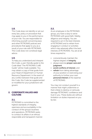#### 1.8.

This Code does not identify or set out every law, policy or procedure that may apply to you in the performance of your role. You are responsible for informing yourself concerning laws and other PETRONAS policies and procedures that apply to you as a result of your role with PETRONAS. This Code does not constitute legal advice.

#### 1.9.

To help you understand and interpret this Code, a user-friendly guide to the Code titled "The PETRONAS CoBE Guide" will be made available. You may obtain a copy of that guide from your Head of Department or Human Resource Department. In the event of any conflict between that guide and this Code, this Code (as supplemented or modified for your jurisdiction) will govern.

#### 2. CORPORATE VALUES AND **CULTURE**

#### 2.1.

PETRONAS is committed to the highest standards of integrity, openness and accountability in the conduct of the group's business and operations. PETRONAS seeks to conduct its affairs in an ethical responsible and transparent manner.

#### 2.2.

As an employee in the PETRONAS group, you have a duty to serve PETRONAS with good faith, fidelity, diligence and integrity. You are required to act in the best interests of PETRONAS and to refrain from engaging in conduct or activities which may adversely affect the best interests of PETRONAS. You are at all times required to:

- conscientiously maintain the highest degree of *integrity*,
- always exercise proper care and judament.
- avoid conflicts of interest, and
- refrain from taking advantage of your position or exercising your authority to further your own personal interest at the expense of PETRONAS.

You may not conduct yourself in a manner that might undermine or that is likely to destroy or seriously damage PETRONAS' confidence and trust in you. These duties are without limitation on duties imposed on you by law.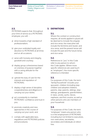Duties of Good Faith, Fidelity, Diligence and **Integrity** 

Workplace Culture and Discipline, Disciplinary **Environment** 

Process and Sanctions

#### 2.3.

PETRONAS expects that, throughout your time of service as a PETRONAS employee, you will: -

- a) strive towards a high standard of professionalism;
- b) give your undivided loyalty and devotion to PETRONAS at all times and on all occasions;
- c) serve with honesty and integrity, goodwill and courtesy;
- d) display group cohesiveness based on oneness of purpose together with a caring attitude for the individual;
- e) uphold the duty of care for the interests and reputation of PETRONAS;
- f) display a high sense of discipline, cooperativeness and diligence in carrying out your duties;
- g) act consistently to maintain PETRONAS' confidence and trust in you;
- h) promote creativity and new approaches in the course of carrying out your work; and
- i) comply with applicable laws, regulations and PETRONAS policies and procedures.

#### 3. DEFINITIONS

#### 3.1.

Where the context or construction requires, all words applied in plural will be deemed to include the singular, and vice versa; the masculine will include the feminine and neuter, and vice versa; and the present tense will include the past and the future tense, and vice versa.

#### 3.2.

References to "you" in this Code refer to any person to whom this Code applies. Where more specific references are used (such as "employee"), the more specific reference is intended.

#### 3.3.

For purposes of this Code, the term "family/household" includes your spouse(s), children (including stepchildren and adopted children), parents, step-parents, siblings, stepsiblings, grandparents, grandchildren, in-laws, uncles, aunts, nieces, nephews, and first cousins, as well as other persons who are members of your household.

#### 3.4.

For purposes of this Code, the term "employee" means any person who is in the employment of PETRONAS including but not limited to executives, non-executives, secretaries, secondees and individuals on direct hire.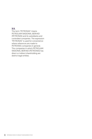#### 3.5.

The term "PETRONAS" means PETROLIAM NASIONAL BERHAD (PETRONAS) and its subsidiaries and controlled companies. The expression "PETRONAS" is used for convenience where references are made to PETRONAS companies in general. The companies in which PETROLIAM NASIONAL BERHAD (PETRONAS) has direct or indirect shareholding are distinct legal entities.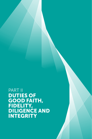PART II DUTIES OF GOOD FAITH, FIDELITY, DILIGENCE AND INTEGRITY

PETRONAS CODE OF CONDUCT AND BUSINESS ETHICS 9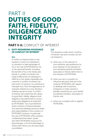# PART II DUTIES OF GOOD FAITH, FIDELITY, DILIGENCE AND INTEGRITY

## PART II A: CONFLICT OF INTEREST

#### 1. DUTY REGARDING AVOIDANCE OF CONFLICT OF INTEREST

#### 1.1.

A conflict of interest arises in any situation in which an individual is in a position to take advantage of his or her role at PETRONAS for his or her personal benefit, including the benefit of his or her family and friends. A conflict of interest can make it difficult for an individual to fulfill his or her duties impartially and correctly. A conflict of interest can exist even if it results in no unethical or improper acts. Even the appearance of improper influence in your decisionmaking may be an issue. A conflict of interest will undermine the values of good faith, fidelity, diligence and integrity in the performance of your duties and obligations as expected by PETRONAS. You must therefore avoid conflicts of interest between your personal dealings and your duties and responsibilities in the conduct of PETRONAS' business. In particular, the use of PETRONAS office position. confidential information, assets and other PETRONAS resources for personal gain, or for the advantage of others with whom you are associated, is prohibited.

#### 1.2.

The situations under which conflicts of interest may arise include, but are not limited to:

- a) when you, in the exercise of your authority, give preference to your interests or the interests of your family/household members, associates or friends rather than to the interests of PETRONAS;
- b) when you are in a position to influence decisions that are to be made by PETRONAS with respect to dealings with a business, enterprise or entity owned or partially owned by you, your family/ household members, associates or friends; and
- c) when you compete with or against **PETRONAS**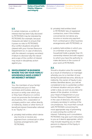Duties of Good Faith, Fidelity, Diligence and Integrity

**Environment** 

Workplace Culture and Discipline, Disciplinary Process and Sanctions

#### 1.3.

In certain instances, a conflict of interest that has been fully disclosed to PETRONAS may be tolerated by PETRONAS (for example, because measures are taken to ensure that it poses no risks to PETRONAS). Any conflict situations should be cleared with your Human Resource Department (or, in case of directors, with the relevant company secretary). A failure to disclose fully the nature and scope of the conflict of interest may result in disciplinary action against you.

#### 2. INVOLVEMENT IN BUSINESS WHERE YOU OR YOUR FAMILY/ HOUSEHOLD HAVE A DIRECT OR INDIRECT INTEREST

#### 2.1.

You, the members of your family/ household and your or their nominees and trustees, and any account or entity over which you or they have influence or control, must not promote the formation of any business, firm, corporation or company and/or own, either directly or indirectly, shares or other forms of beneficial interest (hereinafter referred to as "Equity") in: -

a) privately held entities which derive any income or receive any payment from contractual or other business arrangements with PETRONAS;

- b) privately held entities listed in PETRONAS' lists of registered contractors, even if the entities concerned do not derive any income or receive any payment from contractual or other business arrangements with PETRONAS; or
- c) publicly held entities in which you or a member of your family/ household holds a greater than 1% ownership interest and with respect to which you have the authority to make decisions in the course of your work at PETRONAS.

#### 2.2.

Should a situation arise (for example as a result of inheritance or marriage) whereby you (or a member of your family/household) become, directly or indirectly, the owner of Equity in any entities identified above, you will be considered to be in a potential conflict of interest situation and you will be under a duty, as soon as you become aware of the situation, to inform your Head of Department or your Human Resource Department (or, in the case of directors, the relevant company secretary) in writing of the circumstances. You must then consult with PETRONAS concerning the most appropriate way of preventing or overcoming the conflict of interest. Following such consultation, PETRONAS may give such instructions to you as it deems appropriate, which may include requiring you or other persons to dispose of the Equity in such entities.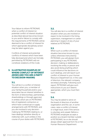Your failure to inform PETRONAS when a conflict of interest (or potential conflict of interest situation as described above) becomes known to you and/or failure to comply with the requirements of PETRONAS will be deemed to be a conflict of interest for which appropriate disciplinary action may be taken against you.

Conflicts of interest and potential conflicts of interest which have been fully disclosed and which are formally permitted by PETRONAS will not constitute violations of this Code.

#### 3. ILLUSTRATIVE EXAMPLES OF WHERE CONFLICT OF INTEREST ARISES AND YOU ARE A PARTY TO DECISION-MAKING

#### 3.1.

You will be in a conflict of interest situation when you, a member of your family/household and/or your associates has an interest (whether in the form of directorships, partnerships, shareholdings or through agencies) in entities which are on PETRONAS' lists of registered contractors or which have contractual or supply arrangements with PETRONAS, and you are involved in any decisionmaking by PETRONAS relating to, or have dealings (whether directly or indirectly) with, such entities in the course of your duties with PETRONAS.

#### 3.2.

You will also be in a conflict of interest situation when you are involved or expect to be involved in the hiring, supervision, management or career planning in respect of any of your relatives at PETRONAS.

#### 3.3.

When such a conflict of interest situation becomes known to you, unless otherwise instructed by PETRONAS, you will abstain from participating in any PETRONAS decision-making or deliberations involving the entity or person and also avoid doing anything which could influence the decisions on such dealings, and will report such conflict of interest to your Human Resource Department (or, in the case of directors, the relevant company secretary) promptly. Following such report, PETRONAS will give such instructions to you as it deems appropriate, which you must then heed.

#### 3.4.

You may be asked to serve on the board of directors of another organisation and this can, in some cases, raise a conflict of interest or a legal issue, even if the service is voluntary and unpaid. Before a PETRONAS employee accepts a position as a board member outside of PETRONAS, he or she should always obtain approval from his or her Human Resource Department.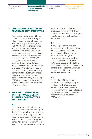Duties of Good Faith, Fidelity, Diligence and Integrity

**Environment** 

Workplace Culture and Discipline, Disciplinary Process and Sanctions

#### 4. DISCLOSURES GIVING UNDUE ADVANTAGE TO THIRD PARTIES

You must not be involved with the commission or omission of any act which gives an undue advantage to an outside party in its dealings with PETRONAS without prior approval from PETRONAS, whether or not such act or omission results in you obtaining a personal gain, benefit or advantage in business transactions or dealings involving PETRONAS. Such prior approvals should be obtained through your Human Resource Department (or, in the case of directors, the relevant full board of directors). Giving an outside party confidential PETRONAS information without appropriate authorisation in order to assist that party in securing PETRONAS business or for any other reason will be considered a violation of this restriction.

#### 5. PERSONAL TRANSACTIONS WITH PETRONAS' CLIENTS, SUPPLIERS, CONTRACTORS AND VENDORS

#### 5.1.

You may not, directly or indirectly, enter into transactions or dealings for the purchase or sale of any moveable or immoveable property or for the supply or purchase of any service from any of PETRONAS' clients, suppliers, contractors or vendors (or with their agents or representatives) with whom

you have or are likely to have official dealings on behalf of PETRONAS, other than transactions or dealings on such terms as are freely available to the general public.

#### 5.2.

If you, despite efforts to avoid transactions or dealings as aforesaid, are constrained nevertheless to act contrary to this prohibition, you must seek through your Head of Department or the head of your operating unit express written permission of PETRONAS management for the conduct of such transactions or dealings, and must not proceed with them until such permission is obtained.

#### 5.3.

The granting of the aforesaid permission will be subject to you satisfying PETRONAS that such transactions or dealings are not inconsistent with the due and proper performance of your duties or the fulfilment of your obligation to PETRONAS.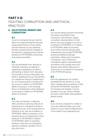## PART II B:

# FIGHTING CORRUPTION AND UNETHICAL PRACTICES

#### 6. SOLICITATION, BRIBERY AND **CORRUPTION**

#### 6.1.

An act of corruption by you has the effect of compromising the due and proper performance of your duties and the exercise of your authority, thereby undermining the integrity of the decision-making process and the decisions of PETRONAS concerning its business and afairs.

#### 6.2.

You are prohibited from, directly or indirectly, soliciting, accepting or obtaining or agreeing to accept or attempting to obtain, from any party for yourself or for any other party, any bribe or gratification as an inducement or a reward for doing or forbearing to do, or for having done or forborne to do, any act in relation to PETRONAS' affairs or business, or for showing favour or forbearing to show disfavour to any party in relation to PETRONAS' afairs or business.

#### 6.3.

You may not directly or indirectly offer, promise or give any bribe as an inducement or a reward for doing or forbearing to do, or for having done or forborne to do, any act in relation to PETRONAS' affairs or business, or for showing favour or forbearing to show disfavour to PETRONAS in relation to PETRONAS' affairs or business. whether in the form of a facilitation payment, kickback, donation, fee or any other form.

#### 6.4.

You should satisfy yourself concerning the status and probity of any contractor, subcontractor, agent, consultant, representative or other person who you engage to act for or on behalf or PETRONAS or in relation to PETRONAS' affairs or business, and confirm that the relevant party understands and accepts PETRONAS' policies prohibiting improper solicitation, bribery and corruption. Contractors, sub-contractors, consultants, agents, representatives and others must comply with such policies when performing work or services for or on behalf of companies in the PETRONAS group.

#### 6.5.

Even the appearance of conduct prohibited by this Section 6, or any other measure that is unethical or that will tarnish PETRONAS' reputation for honesty and integrity, must be avoided. If you are unsure whether an action is permitted, seek guidance before acting.

#### 6.6.

If you receive a request for a bribe or if you are offered a bribe, you must report it to your Head of Department or the head of your operating unit.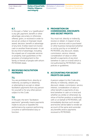Duties of Good Faith, Fidelity, Diligence and Integrity

**Environment** 

Workplace Culture and Discipline, Disciplinary Process and Sanctions

#### 6.7.

In this part, a "bribe" or a "gratification" is any gift, payment, benefit or other advantage, pecuniary or otherwise, offered, given, or received in order to secure an undue or improper result, award, decision, benefit or advantage of any kind. A bribe need not involve cash or another financial asset—it can be any kind of advantage, including the unpaid use of corporate services or property, loan guarantees or the provision of employment to the family or friends of people with whom PETRONAS deals.

#### 7. RECEIVING FACILITATION PAYMENTS

#### 7.1.

You are prohibited from, directly or indirectly, accepting or obtaining or attempting to accept or obtain facilitation payments from any person for yourself or for any other person subject to this Code.

#### 7.2.

In this part, the term "facilitation payments" generally means payments made to secure or expedite the performance by a person performing a routine or administrative duty or function.

#### 8. PROHIBITION ON COMMISSIONS, DISCOUNTS AND SECRET PROFITS

You must not, directly or indirectly, receive or obtain, in respect of any goods or services sold or purchased or other business transacted (whether or not by you) by or on behalf of PETRONAS, any discount, rebate, commission, service, interest, consideration of value or other benefit or payments of any kind (whether in cash or in kind) which is not authorised by PETRONAS' rules, policies or guidelines.

#### 9. ACCOUNTING FOR SECRET PROFITS OR GAINS

A person subject to this Code who, directly or indirectly, obtains any discount, rebate, commission, service, interest, consideration of value or other benefit or payments of any kind (whether in cash or in kind and whether as a bribe or otherwise), by virtue of his/her position or authority with or on behalf of PETRONAS, will immediately disclose such receipt and he/she will be liable to render an account of the same and surrender any benefits and/or payments received to PETRONAS.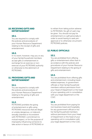#### 10. RECEIVING GIFTS AND ENTERTAINMENT

#### 10.1.

You are required to comply with the policies and procedures of your Human Resource Department relating to the receipt of gifts and entertainment.

#### 10.2.

In no event, however, may you or any of your family/household members accept gifts or entertainment in exchange for an exercise or nonexercise of your PETRONAS authority or otherwise to the detriment of **PETRONAS** 

#### 11. PROVIDING GIFTS AND ENTERTAINMENT

#### 11.1.

You are required to comply with the policies and procedures of your Human Resource Department relating to the giving of gifts and entertainment.

#### 11.2.

PETRONAS prohibits the giving of entertainment or gifts using PETRONAS resources that are illegal or unduly dangerous, or indecent, sexually oriented or inconsistent with PETRONAS' commitment to mutual respect, or for the purpose of improperly influencing someone to take action in favour of PETRONAS or to refrain from taking action adverse to PETRONAS. No gift of cash may be given. You should not pay for entertainment or a gift personally in order to avoid having to seek preapproval or to otherwise circumvent PETRONAS policies.

#### 12. PUBLIC OFFICIALS

#### 12.1.

You are prohibited from offering gifts or entertainment other than in accordance with the policies and procedures of your Human Resource Department relating to the giving of gifts and entertainment.

#### 12.2.

You are prohibited from offering gifts and entertainment, including travelrelated expenses, to government officials or their family/household members without permission from your Head of Department or the head of your operating unit in consultation with your legal department or the CGIC.

#### 12.3.

You are prohibited from paying for non business travel and hospitality for any government official or his/ her family/household members without permission from your Head of Department or the head of your operating unit in consultation with your legal department or the CGIC.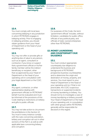Duties of Good Faith, Fidelity, Diligence and Integrity

Environment

Workplace Culture and Discipline, Disciplinary Process and Sanctions

#### 12.4.

You must comply with local laws concerning lobbying in any jurisdiction in which PETRONAS engages in lobbying activity. Prior to engaging in lobbying activities, you should obtain guidance from your Head of Department or the head of your operating unit.

#### 12.5.

You may not offer or provide gifts or anything else of value to any person, such as an agent, consultant or contractor, if you know or suspect that a government official or his/her family member will be the indirect beneficiary or recipient, other than as approved by your Head of Department or the head of your operating unit in consultation with your legal department or the CGIC.

#### 12.6.

Any agent, contractor, or other representative dealing with government officials on PETRONAS' behalf must be evaluated and must be informed of the provisions of this Code relating to restrictions on bribery and gifts to public officials.

#### 12.7.

You may not take action to circumvent the prohibitions in this Section 12. You must in every instance comply with the rules concerning solicitation, bribery and corruption set out in other sections of this Part II, as well as with applicable laws concerning bribery and corruption.

#### 12.8.

For purposes of this Code, the term "government official" includes, without limitation, candidates for public office, officials of any political party, and officials of state-owned enterprises other than PETRONAS.

#### 13. MONEY LAUNDERING AND COUNTERPARTY DUE **DILIGENCE**

#### 13.1.

You must conduct appropriate counterparty due diligence to understand the business and background of PETRONAS' prospective business counterparties and to determine the origin and destination of money, property, and services. You must report to your Head of Department or the head of your operating unit (or, if that is not practicable, the CGIC) suspicious transactions or suspected incidents of money laundering or bribery. You should not try to investigate a case of money laundering or bribery yourself. Your Head of Department or the head of your operating unit, in consultation with other groups within PETRONAS, generally will be responsible for decisions in this regard.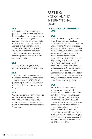#### 13.2.

In this part, "money laundering" is generally defined as occurring when the criminal origin or nature of money or assets is hidden in legitimate business dealings or when legitimate funds are used to support criminal activities, including the financing of terrorism. Offences covered by anti-money laundering legislation include prejudicing or obstructing an investigation and failing to report suspicious activity.

#### 13.3.

You may not knowingly deal with criminals or the proceeds of a crime.

#### 13.4.

The amount, nature, purpose, and provider or recipient of any payment or transfer to or from PETRONAS group companies must be accurately reflected in the books and records of the group.

#### 13.5.

You may not establish bank, securities trading or similar accounts in the name of PETRONAS companies or for the benefit of PETRONAS without proper authorisation from the Finance Department.

## PART II C: NATIONAL AND INTERNATIONAL TRADE

#### 14. ANTITRUST /COMPETITION LAW

#### 14.1.

You must ensure that your actions towards business partners (e.g., customers and suppliers), competitors and governmental authorities at all times reflect fair and proper business practices and are in compliance with the laws and regulations governing free and fair competition and monopolies. In this regard, you must fully comply with the competition laws of every country in which PETRONAS operates. In furtherance of this requirement, you are obligated to comply with the PETRONAS Competition Guidelines as in efect for your jurisdiction from time-to time, a copy of which is available from your Legal Department or the CGIC.

#### 14.2.

It is PETRONAS' policy that an employee participating in the violation of competition rules will be punished for any misconduct. Any behavior even suggestive of illegal anticompetitive activity is against PETRONAS' policy and any employee engaging in such conduct should expect to face disciplinary action by PETRONAS. In case of doubt concerning the compliance of your activities with competition rules, you must contact your Legal Department, the CGIC or designated internal or external legal counsel.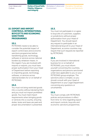Duties of Good Faith, Fidelity, Diligence and Integrity

Environment

Workplace Culture and Discipline, Disciplinary Process and Sanctions

#### 15. EXPORT AND IMPORT CONTROLS, INTERNATIONAL BOYCOTTS AND ECONOMIC **SANCTIONS** PROGRAMMES

#### 15.1.

PETRONAS needs to be able to consider the potential impact of export control laws and economic sanctions programmes before transferring goods, technology, software or services across national borders by whatever means. In this regard, if you are involved with imports or exports, you must have proper authorisation from your Head of Department before exporting or importing goods, technology, software, or services across national borders for or on behalf of PETRONAS.

#### 15.2.

You must not bring restricted goods into a country without declaring them and you must not import prohibited goods. You must meet import requirements when bringing goods or services into a country, ensuring duties, levies and taxes are paid and proper documentation is presented.

#### 15.3.

You must not participate in or agree to boycotts of customers, suppliers or jurisdictions without proper authorisation from your Head of Department. You should report any request to participate in an international boycott to your Head of Department, as some countries may require that such requests be reported by PETRONAS.

#### 15.4.

If you are involved in international business for or on behalf of PETRONAS, you must inform yourself concerning the countries, organisations and persons sanctioned under laws applicable to you or your PETRONAS group employer. The sanctions area is complex, so you should consult with your Head of Department or your Legal Department concerning any questions or uncertainties.

#### 15.5.

You must comply with PETRONAS policies and procedures in efect from time-to-time regarding export and import controls, boycotts and economic sanctions programmes.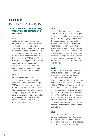# PART II D: ASSETS OF PETRONAS

#### 16. RESPONSIBILITY FOR ASSETS, FACILITIES, RESOURCES AND RECORDS

#### 16.1.

Insofar as you have possession of or are given access to assets, facilities, resources or records belonging to PETRONAS, that possession or access is provided on the basis of trust and confidence that they are to be used for the furtherance of the interest of the businesses of PETRONAS. These assets may be tangible—for example, equipment, including computer hardware, or cash—or they may be intangible, such as intellectual property and computer software.

#### 16.2.

You are responsible for the safekeeping of all assets, facilities, resources and records belonging to PETRONAS that are provided to you for the performance of your duties. You must diligently give heed to and strictly comply with the PETRONAS policies and procedures as amended and updated from time-to-time on the use of all assets, facilities, resources and records.

#### 16.3.

You must further take all necessary steps to prevent theft, loss, damage to, or misuse of assets, facilities, resources and records belonging to PETRONAS, the occurrence of which should be reported immediately to PETRONAS. Regardless of condition or value, assets, facilities, resources and records belonging to PETRONAS may not be misused, taken, sold, lent, given away or otherwise disposed of, or used for personal purposes, except with the appropriate specific authorisation of **PETRONAS** 

#### 16.4.

Subject to applicable laws, you may be liable for any loss of or damage to assets, facilities, resources and records arising from your willful misconduct or negligence or careless action or as a result of action taken without PETRONAS' approval, and any financial loss suffered by PETRONAS may be recovered from you by way of deduction from your salary or other means. Within the limits of applicable law, PETRONAS may at its discretion take any other action against you considered appropriate by PETRONAS, including reporting you to the public authorities.

#### 16.5.

You must also comply with all policies and procedures established from time-to-time concerning the preparation, maintenance and disposal of PETRONAS' books and records.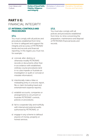Duties of Good Faith, Fidelity, Diligence and Integrity

**Environment** 

Workplace Culture and Discipline, Disciplinary Process and Sanctions

# PART II E: FINANCIAL INTEGRITY

#### 17. INTERNAL CONTROLS AND PROCEDURES

#### 17.1.

You must comply with all policies and procedures established from timeto-time to safeguard and support the integrity and accuracy of PETRONAS' books and records and financial reporting. In this regard, you must not, for example: -

- a) conceal, alter, destroy or otherwise modify PETRONAS records or documents other than in accordance with established, ordinary course procedures (and in no case impede or frustrate an investigation or audit or conceal or misstate information);
- b) intentionally make a false or misleading entry in a record, report, file or claim (including travel and entertainment expense reports);
- c) establish accounts, companies or arrangements to circumvent or frustrate PETRONAS' controls, policies or procedures;
- d) fail to cooperate fully and truthfully with internal and external audits authorised by PETRONAS; or
- e) engage in any scheme to defraud anyone of money, property or honest services.

#### 17.2.

You must also comply with all policies and procedures established from time-to-time concerning the preparation, maintenance and disposal of PETRONAS financial books and records.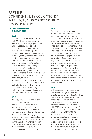# PART II F: CONFIDENTIALITY OBLIGATIONS/ INTELLECTUAL PROPERTY/PUBLIC COMMUNICATIONS

#### 18.CONFIDENTIALITY **OBLIGATIONS**

#### 18.1.

The business affairs and records of PETRONAS comprising business, technical, financial, legal, personnel and contractual records and documents comprising telegrams, e-mails, letters, maps, reports, drawings, calculations, specifications, formulae, forms, licenses, agreements or other documents or computer softwares or files of whatever nature and informations as to formulae, processes and manufacturing methods are all confidential information belonging to PETRONAS. Such confidential information is strictly private and confidential and may not be utilised, discussed with, divulged to or disclosed to persons inside or outside PETRONAS, except by persons authorised to do so. All necessary precautions are to be taken by you with respect to the confidentiality of such confidential information.

#### 18.2.

You may not, either during or after your employment or engagement, disclose, divulge or utilise without appropriate authorisation any such confidential information which may have come to your knowledge during your employment or engagement under any previous contract of service with PETRONAS and you must, both during and after your employment or engagement, take all reasonable precautions to keep all such confidential information secret.

#### 18.3.

Except so far as may be necessary for the purpose of performing your duties you may not, without the consent of PETRONAS, retain or make originals or copies of such confidential information or notices thereof, nor retain samples of specimens in which PETRONAS may be or may have been interested and which have come into your possession by reason of your employment or engagement. If on termination of your employment or engagement you are in possession of any confidential information or any such samples or specimens as aforesaid, you will deliver forthwith the same on or before the date of cessation of your employment/ engagement to PETRONAS without being asked, except insofar as consent to retain them has been given to you by PETRONAS.

#### 18.4.

In the course of your relationship with PETRONAS, you may have established contacts and relationships with PETRONAS' vendors, suppliers, contractors, principals and other business partners. You will not at any time during your relationship with PETRONAS, or for a period of two years after the cessation of your relationship with PETRONAS (or for whatever other period of time as may be specified in the terms of your engagement or Country Supplement to this Code applicable to you), whether by resignation or otherwise, make use of business opportunities arising from your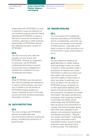Duties of Good Faith, Fidelity, Diligence and Integrity

Environment

Workplace Culture and Discipline, Disciplinary Process and Sanctions

relationship with PETRONAS or cause or attempt to cause the diversion of such business opportunity from being exploited by PETRONAS or cause or attempt to cause the termination of contracts, agencies or other business relationships of PETRONAS without first obtaining the prior consent of **PETRONAS** 

#### 18.5.

You will not at any time, after the cessation of your tenure with PETRONAS, whether by resignation or otherwise, use PETRONAS' confidential information in breach of your post-tenure obligations to maintain the confidence of such confidential information.

#### 18.6.

While PETRONAS may hire persons who have knowledge and experience in various technical areas, you must not on behalf or for the benefit of PETRONAS employ people as a means of gaining access to the trade secrets and other sensitive proprietary information of others.

#### 19. DATA PROTECTION

#### 19.1.

You must comply with PETRONAS policies and applicable laws concerning the protection of personal privacy, including the protection of personal data.

#### 20. INSIDER DEALING

#### 20.1.

You must protect the confidential business information of PETRONAS and its counterparties, and never use it for your own benefit or the benefit of other persons—especially not to trade in shares or other securities or to recommend or cause a third-party to do so.

#### 20.2.

You are required to abide by all applicable laws on insider dealing, which generally is when you trade in shares or other securities while in possession of material non-public information or when you share such information with someone else who then trades in those shares or other securities. In particular, you must not deal in the securities of PETRONAS group companies (or in other speculative dealings with regard to those securities) while in the possession of material non-public information. We expect all directors, employees, their respective families/ households and others whose relationships with PETRONAS give them access to such information to comply with these principles, along with other laws, regulations and policies concerning the handling of confidential information. "Material non-public information" is generally non-public information that a reasonable investor would consider important when deciding to buy or sell securities. The restrictions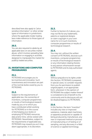described here also apply to "price sensitive information" or other similar types of information in jurisdictions where the applicable insider trading laws make reference to those types of information.

#### 20.3.

You are also required to abide by all applicable laws on securities market abuse, which involves spreading false information or engaging in activities designed to manipulate the market for publicly traded securities.

#### 21.INVENTIONS AND COMPUTER PROGRAMMES

#### 21.1.

PETRONAS encourages you to be inventive and innovative. Such inventiveness and innovation are part of the normal duties owed by you to PETRONAS.

#### 21.2.

Subject to the requirements of applicable law, the ownership of inventions, computer programmes or results of technological research made by you or to which you have contributed whilst working for PETRONAS or in the course of discharging your duties or employing PETRONAS resources, data and/or time, will be vested with PETRONAS. Nevertheless, subject to the requirements of applicable law, PETRONAS may reward you as it may deem appropriate, in its discretion.

#### 21.3.

Further to Section 21.2 above, you may not file for any trademarks, patents or registered designs or claim copyright in your own name for or in such inventions, computer programmes or results of technological research.

#### 21.4.

You may not, without the written consent of PETRONAS, disclose such inventions, computer programmes or results of technological research or any information relating thereto to any person whomsoever except to PETRONAS and its duly authorised agents.

#### 21.5.

Without prejudice to its rights under this Section, PETRONAS is prepared, in special cases, to consider requests from you for permission to publish original papers, in an appropriate form, whenever in the opinion of PETRONAS the subject matter thereof is considered to be of benefit to the community and its disclosure will not be disadvantageous to PETRONAS.

#### 21.6.

In this Section, the term "invention" includes any new or improved substance, material, plant machinery or apparatus produced or capable of being produced by manufacture, any new or improved method or process of manufacturing or of testing or of sampling, and any discovery in a field of science or applied technology.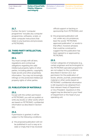Duties of Good Faith, Fidelity, Diligence and Integrity

**Environment** 

Workplace Culture and Discipline, Disciplinary Process and Sanctions

#### 21.7.

Further, the term "computer programme" includes any computer programmes, softwares, scripts, or other computer instructions that relate to any business and processes of PETRONAS.

#### 22. THIRD PARTY INTELLECTUAL **PROPERTY**

#### 22.1.

You must comply with all laws, regulations and contractual obligations regarding the valid intellectual property rights of other parties, including patents, copyrights, trade secrets and other proprietary information. You may not knowingly infringe on the protected intellectual property rights of other parties.

#### 23. PUBLICATION OF MATERIALS

#### 23.1.

Except with the written permission of PETRONAS, you will not publish or write any books or other works which are based on PETRONAS' confidential information as described in Section 18.1.

#### 23.2.

If permission is granted, it will be subject to the following conditions:

a) the proposed publication will not be published in such a way as to state or imply that it has received

official support or backing or sponsorship from PETRONAS; and

b) the proposed publication will not, under any circumstances, bear the words "PETRONAS approved publication" or words to that effect, however phrased, that could be construed to suggest that the publication has been agreed to or approved by **PETRONAS** 

#### 23.3.

Certain categories of employees (e.g., certain engineers and technologists) in the PETRONAS specialist programme are not subject to the conditions described in Section 22.2, but permission for the publication of books, articles, journals, presentation material or other works based on PETRONAS' confidential information is still required to be obtained from their relevant Head of Department or Vice President. Questions in this regard may be directed to your Head of Department or the head of your operating unit.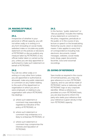#### 24. MAKING OF PUBLIC **STATEMENTS**

#### 24.1.

Irrespective of whether in your personal or official capacity, you will not either orally or in writing or in any form (including on social media websites) make or circulate any public statement on the policies or decisions of PETRONAS or discuss publicly any measure taken by PETRONAS or any official matter taken or carried out by you, unless you are duly appointed or authorised to make such statement on behalf of PETRONAS.

#### 24.2.

You will not, either orally or in writing or in any other form (unless you are appointed or authorised as aforesaid), make any public statement or comment on any matter relating to the work of the department or organisation in which you are or were employed, or relating to any organisation with which PETRONAS has dealings: -

- a) where such statement or comment may reasonably be regarded as indicative of the policy of PETRONAS; or
- b) where such statement or comment may embarrass or is likely to embarrass PETRONAS; or
- c) where such statement or comment may compromise the interests and reputation of **PETRONAS**

#### 24.3.

In this Section, "public statement" or "discuss publicly" includes the making of any statement or comment to the press, magazines, periodicals or the public or in the course of any lecture or speech or the broadcasting thereof by sound, vision or electronic means. It also applies to every kind of correspondence including mail, electronic documents, instant messages, websites, social media tools, blogs, paper documents, facsimile, voice and voicemail recordings.

#### 25. GIVING OF REFERENCE

Save insofar as required in the course of normal business, you may only give reference in a non-PETRONAS capacity, and no use will be made of PETRONAS' name or stationery with PETRONAS' logo or any corporate identifier. Where a reference is provided on a non-PETRONAS basis, you are duty bound to inform the party who seeks your reference that your reference is given strictly in that non-PETRONAS capacity.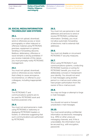Duties of Good Faith, Fidelity, Diligence and Integrity

**Environment** 

Workplace Culture and Discipline, Disciplinary Process and Sanctions

#### 26. SOCIAL MEDIA/INFORMATION TECHNOLOGY AND SYSTEMS

#### 26.1.

You must not upload, download, send or otherwise access or store pornography or other indecent or ofensive material using PETRONAS premises, equipment or systems. Sending or forwarding obscene, libellous, defamatory, offensive or racist remarks is strictly prohibited. If you receive materials of this nature, you must promptly notify PETRONAS management.

#### 26.2.

You must not upload, download, send or otherwise access material that is likely to cause annoyance, inconvenience, or offense to your colleagues, including inappropriate jokes.

#### 26.3.

The PETRONAS IT and communications systems are to be used for PETRONAS work and business purposes only.

#### 26.4.

You must not send personal e-mails using PETRONAS e-stationery or displaying PETRONAS headers or footers, or otherwise suggesting that such communications are authorised by PETRONAS.

#### 26.5.

You must not use personal e-mail addresses and services to send or receive PETRONAS confidential information. Similarly, you must not allow automatic forwarding of electronic mail to external mail addresses.

#### 26.6.

You must not disable or circumvent PETRONAS IT security measures.

#### 26.7.

When using PETRONAS IT and communications systems, conducting PETRONAS' business or acting for PETRONAS' benefit, you must not deliberately conceal or misrepresent your identity. You should not send e-mail messages using another person's e-mail account unless you have proper authorisation from the owner of the e-mail account.

#### 26.8.

You may not forge or attempt to forge e-mail messages.

#### 26.9.

You should not send or forward unsolicited e-mail messages.

#### 26.10.

You must avoid sending confidential information via electronic messaging (e.g., SMS) or other unsecure messaging channels, and, if this is unavoidable, the information must be secured (e.g., with encryption, password).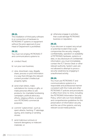#### 26.11.

The installation of third party software in or connection of hardware to PETRONAS IT systems or equipment without the prior approval of your Head of Department is prohibited.

#### 26.12.

You must not employ PETRONAS IT and communications systems to:

- a) conduct fraud;
- b) run your own business;
- c) view, download, copy, illegally share, process or post information in a way that infringes the relevant content provider's intellectual property rights;
- d) send chain letters, make solicitations for money or gifts, or make personal offers to sell products, for charitable fundraising campaigns, political advocacy efforts, religious efforts, or private non-PETRONAS commercial purposes;
- e) commit "cybercrimes", such as spam attacks, hacking, IT sabotage, spying, and creating or sending viruses;
- f) send malicious rumours or transmit derogatory or indecent materials; or

g) otherwise engage in activities that could damage PETRONAS' business or reputation.

#### 26.13.

If you discover or suspect any actual or potential incident that could compromise the security, integrity, confidentiality, operation or availability of PETRONAS hardware, systems or data, or any disclosure of confidential information, you must immediately contact the ICT Service Desk or other relevant authority. System users are not allowed to attempt to prove a security weakness by engaging in unauthorised activity.

#### 26.14.

You must use PETRONAS IT and communications systems in a responsible and professional manner consistent with this Code and other PETRONAS IT policies and procedures in effect from time-to-time, including the PETRONAS Information Security Policy, which sets out more detailed and comprehensive guidelines for the preservation of information security and the use of the systems, and any relevant social media policies.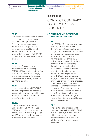Duties of Good Faith, Fidelity, Diligence and Integrity

Workplace Culture and Discipline, Disciplinary **Environment** 

Process and Sanctions

# PART II G: CONDUCT CONTRARY TO DUTY TO SERVE DILIGENTLY

#### 27. OUTSIDE EMPLOYMENT OR BUSINESS ACTIVITIES

#### 27.1.

As a PETRONAS employee, you must devote your time and attention to the fulfillment of your employment obligations to PETRONAS. PETRONAS employees may not take up other employment or gainful activity, whether part-time or full-time, or be involved in any outside business activities, in whatever capacity (including being involved in the management, direction or conduct of another enterprise) without the express written permission of PETRONAS. If you are already engaged in any other gainful activity or involved, either directly or indirectly, in the management or business activities of any other company or companies, firms, corporations or other business activities, you should come forward and disclose your activity to PETRONAS through your Head of Department or your Human Resource Department.

#### 27.2.

The granting of permission will be subject to your satisfying PETRONAS that such activity will not interfere with or compromise the proper performance of your duties or the fulfillment of your obligations to PETRONAS.

#### 26.15.

PETRONAS may search and monitor your e-mails and Internet usage conducted through PETRONAS IT or communications systems and equipment, subject to the requirements of local laws and regulations. You should not assume that any use of PETRONAS' communications devices or systems is private.

#### 26.16.

You must safeguard passwords and other means of shielding PETRONAS' information systems from unauthorised access, including by following the password protection protocols established by PETRONAS from time-to-time.

#### 26.17.

You must comply with PETRONAS policies and procedures regarding records retention, whether with regard to electronic or hard copy records, in efect from time-to-time.

#### 26.18.

Contractors and other parties authorised by PETRONAS to use PETRONAS computer systems must comply with PETRONAS' IT policies and ICT security baseline procedures in efect from time-to-time.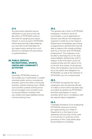#### 27.3.

Any permission granted may be withdrawn at any time at the sole discretion of PETRONAS without the need for assigning any reason thereof. In such an event, PETRONAS will be deemed fully indemnified by you and will not be held liable for any repercussion arising from such decision to withdraw the permission so granted before.

#### 28. PUBLIC SERVICE, RECREATIONAL, SPORTS, UNION AND COMMUNITY **ACTIVITIES**

#### 28.1.

Generally, PETRONAS wishes to encourage you to participate in unpaid voluntary public service, recreational activities, sports and other community activities outside working hours. Whilst such activities outside working hours are encouraged, such activities must not be permitted to interfere with your duties and responsibilities during normal working hours.

#### 28.2.

The general rule is that if a PETRONAS employee is invited to serve on local bodies, or as an appointed or elected club official, the employee is required to notify his or her Head of Department immediately upon being so appointed or elected and must be able to balance the outside activities with his or her full-time PETRONAS employment. The employee must be able to discharge his or her dual responsibilities satisfactorily, both in respect of the time taken up by the outside activity and the nature of his or her full-time duties. At all relevant times, the employee must ensure that his or her duties and obligations to PETRONAS, as well as the interests of PETRONAS, are not compromised.

#### 28.3.

PETRONAS recognises the role of employees who are elected officials of a labour union which has been duly accorded recognition by PETRONAS and their participation in union activities which are in compliance with the relevant labour legislation.

#### 28.4.

Charitable donations of (or employing) PETRONAS resources must be pre-approved by your Head of Department or the head of your operating unit and may not be used to circumvent or avoid any of the provisions of this Code (particularly the prohibitions on bribery).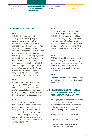Duties of Good Faith, Fidelity, Diligence and Integrity

**Environment** 

Workplace Culture and Discipline, Disciplinary Process and Sanctions

#### 29. POLITICAL ACTIVITIES

#### 29.1.

PETRONAS recognises that employees, in their capacity as citizens, may wish to involve themselves in legitimate political activities. While PETRONAS does not wish to discourage employees from doing so, in order that PETRONAS can avoid involvement or identification with any political party, employees are required to use their off duty time, or annual leave entitlement, subject to prior approval, for such matters. In the event an employee is appointed an office holder at the Branch, Division, State or National level of a political party, the employee is to inform PETRONAS of such appointment.

#### 29.2.

In order not to compromise the interests of PETRONAS, employees who wish to stand for State, Federal and/or material elections are required to resign from PETRONAS, subject to the requirements of applicable law.

#### 29.3.

You must not use your position with PETRONAS to try to influence any other person (whether or not employed by PETRONAS) to make political contributions or to support politicians or their parties in any country without approval from your Head of Department or the head of your operating unit.

#### 29.4.

You may not make any contribution or incur any expenditure using PETRONAS resources to benefit any political campaign, party or politician in any country without approval from your Head of Department or the head of your operating unit in consultation with your legal department or the CGIC.

#### 29.5.

PETRONAS facilities, equipment and resources may not be used for any political campaigns or party functions without approval from your Head of Department or the head of your operating unit.

#### 29.6.

Charitable donations may not be used as a substitute for prohibited political payments.

#### 30. PROHIBITION OF ACTION AS EDITOR OF NEWSPAPERS OR ANY FORM OF PUBLICATION

An employee will not act as the editor, or take part directly or indirectly in the management of any publication, including newspapers, magazines or journals, except for the following: -

- a) department or staff publications;
- b) professional publications; and
- c) publications of non-political or voluntary organisations.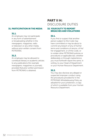#### 31. PARTICIPATION IN THE MEDIA

#### 31.1.

An employee may not participate in any form of advertisement or broadcasting whether in the newspapers, magazines, radio or television or any other media, without prior written consent from PETRONAS.

#### 31.2.

An employee may be allowed to contribute literary or academic articles to any publications (for example newspapers, magazines or journals), provided that prior written permission from PETRONAS is obtained.

## PART II H: DISCLOSURE DUTIES

#### 32. YOUR DUTY TO REPORT BREACHES AND VIOLATIONS

#### 32.1.

If you find or suspect that another person subject to this Code may have committed or may be about to commit any breach of any of his/her terms and conditions of service, of his/ her engagement, or of this Code, or to violate other PETRONAS policies or procedures or applicable law, whether deliberately or through inadvertence, you must forthwith report the same, in writing, to your Head of Department or your Human Resource Department.

#### 32.2.

You may also disclose any alleged or suspected improper conduct using the procedures provided for in the PETRONAS Whistleblowing Policy as adopted for your jurisdiction, a copy of which is available from your Human Resource Department.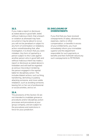#### 32.3.

If you make a report or disclosure as stated above in good faith, belief, without malicious intent, that a breach or violation as aforesaid may have occurred or may be about to occur, you will not be penalised or subject to any form of victimisation or retaliatory action notwithstanding that, after investigation, it is shown that you were mistaken. Any form of reprisal by a person subject to this Code against another person who in good faith and without malicious intent has made a report or disclosure as stated above is forbidden and will itself be regarded as serious misconduct rendering the person engaged in the reprisal liable for disciplinary action. This includes blatant actions, such as firing, transferring, demoting or publicly attacking someone, and more subtle retaliation, such as avoiding someone, leaving him or her out of professional or social activities, and so on.

#### 32.4.

The provisions of this Section 32 are not intended to invalidate grievance procedures and/or disciplinary action processes and procedures at your group company, and are subject to the procedures and restrictions in force for your jurisdiction.

#### 33. DISCLOSURE OF **OVERPAYMENTS**

If you find that you have received overpayments of salary, allowances, expenses, claims or other compensation, or benefits in excess of your entitlements, you must immediately inform your immediate superior and the department responsible for such payments or benefits and then forthwith refund any such overpayments to PETRONAS.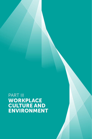# PART III WORKPLACE CULTURE AND ENVIRONMENT

PETRONAS CODE OF CONDUCT AND BUSINESS ETHICS 35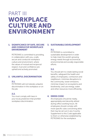# PART III WORKPLACE CULTURE AND ENVIRONMENT

#### 1. SIGNIFICANCE OF SAFE, SECURE AND CONDUCIVE WORKPLACE ENVIRONMENT

PETRONAS is committed to providing, in collaboration with you, a safe, secure and conducive workplace culture and environment, where the values of mutual and reciprocal respect, trust and confidence are upheld and actively promoted.

#### 2. UNLAWFUL DISCRIMINATION

#### 2.1.

PETRONAS will not tolerate unlawful discrimination in the workplace or on the job.

#### 2.2.

You must comply with laws in your local jurisdiction that prohibit workplace discrimination.

#### 3. SUSTAINABLE DEVELOPMENT

#### 3.1.

PETRONAS is committed to sustainable development in order to help meet the world's growing energy needs through economical, environmental and socially responsible efforts.

#### 3.2.

You should aim to create lasting social benefits; safeguard the health and safety of employees, contractors and neighbours; minimise disruptions to the community; lower emissions; minimise impact on ecosystems and biodiversity; and use energy, water and other resources more efficiently.

#### 4. DRESS CODE

All employees should be neatly, appropriately and decently attired during office working hours. All employees should comply with more specific rules concerning attire that may be set out in any Country Supplement to this Code applicable to them or otherwise established by PETRONAS for the workplace.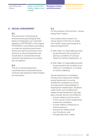Duties of Good Faith, Fidelity, Diligence and **Integrity** 

Workplace Culture and Environment

Discipline, Disciplinary Process and Sanctions

#### 5. SEXUAL HARASSMENT

#### 5.1.

The promotion of the physical, emotional and psychological wellbeing of employees is an important objective of PETRONAS. In this regard, PETRONAS is committed to providing a conducive working environment where your right to protection from all forms of sexual harassment and unsolicited or unwarranted sexual overtures and advances is accorded due recognition.

#### 5.2.

The act of sexual harassment, unsolicited and unwarranted sexual overtures and advances will be treated as misconduct.

#### 5.3.

For the purpose of this Section, "sexual harassment" means:-

Any unwelcomed conduct of a sexual nature in the form of verbal, non-verbal, visual, psychological or physical harassment:-

- a) that might, on reasonable grounds, be perceived by the recipient as placing a condition of a sexual nature on his/her employment; or
- b) that might, on reasonable grounds, be perceived by the recipient as an offence or humiliation, or a threat to his/her wellbeing.

Sexual harassment in workplace includes any employment related sexual harassment occurring outside the workplace as a result of employment responsibilities or employment relationships. Situations under which such employment related sexual harassment may take place include, but are not limited to:-

- − at work related social functions;
- − in the course of work assignments outside the workplace;
- − at work related conferences or training sessions;
- − during work related travel;
- − over the phone; and
- − through electronic media.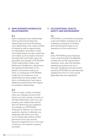#### 6. NON-BUSINESS WORKPLACE RELATIONSHIPS

#### 6.1.

When employees have relationships which go beyond professional relationships and social friendships, such relationships may create conflicts of interest as well as opportunities for exploitation, favouritism or bias. Such relationships can also undermine core values, such as respect and trust amongst staff, and impact upon the reputation and integrity of PETRONAS. These relationships create a real likelihood of disafection, disharmony and significant difficulties for the parties concerned as well as for other co-employees of PETRONAS. Under the circumstances, such relationships are discouraged. Your terms of employment may impose additional requirements with respect to workplace relationships.

#### 6.2.

There is a basic conflict of interest when you manage someone with whom you have a family, romantic or intimate relationship. Even if you act properly, your relationship may be seen as influencing your judgment. Accordingly, as a PETRONAS employee or director, you may not supervise, directly or indirectly, any employee with whom you have such a relationship without written permission from your Human Resource Department (or, in the case of directors, the relevant company secretary).

#### 7. OCCUPATIONAL HEALTH, SAFETY AND ENVIRONMENT

#### 7.1.

PETRONAS is committed to providing a safe and healthy workplace for all employees working at its facilities and minimising the impact of its operations on the environment.

#### 7.2.

Every PETRONAS group employee must conscientiously and diligently comply with all HSE requirements, measures, work rules and standard operating procedures set out in manuals, handbooks and documents issued by PETRONAS as amended and updated from time-to-time and all applicable laws and regulations.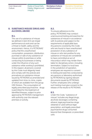Duties of Good Faith, Fidelity, Diligence and **Integrity** 

Workplace Culture and Environment

Discipline, Disciplinary Process and Sanctions

#### 8. SUBSTANCE MISUSE (DRUG AND ALCOHOL ABUSE)

#### 8.1.

The use of a substance of misuse (as defined in item 8.3) can impair performance at work and can be a threat to health, safety and the environment. Hence, it is PETRONAS' policy that the unauthorised consumption, possession, distribution, purchase or sale of any substance of misuse within its premises or while conducting its businesses or being under the influence of any such substance while working is prohibited. In this respect, all persons covered by this Code must diligently heed and comply with the policies and procedures on substance misuse issued by PETRONAS as amended and updated from time-to-time, copies of which are available from the group HSE Division. The consumption of legally prescribed psychoactive drugs is permitted for the treatment of identified illnesses, subject to prior approval by PETRONAS management with authority over the relevant premises or activity.

#### 8.2.

To ensure adherence to this policy, PETRONAS may conduct unannounced testing and searches for substances of misuse in accordance with its policies and subject to the requirements of applicable laws. Any persons covered by this Code who are found to have unauthorised possession of any substance of misuse or who test positive for any substance of misuse are considered to have committed an act of misconduct which may render them liable for disciplinary action, including termination. Subject to local laws in the jurisdiction of operation, employees are required to consent to testing and searches conducted by any persons or laboratory authorised by PETRONAS by signing relevant documents issued by PETRONAS. Further, employees who undergo such testing must give consent to the release of the results to PETRONAS.

#### 8.3.

Under this Code, "substance of misuse" includes any illegal drugs, alcoholic beverages containing ethanol, legal psychoactive drugs obtained or used without legal prescription, and legally prescribed psychoactive drugs consumed beyond their therapeutic or prescribed uses.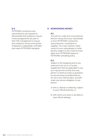#### 8.4.

PETRONAS contractors and subcontractors are required to demonstrate that substance misuse control programmes are part of their HSE management to ensure that substance misuse among their employees is adequately controlled and meets PETRONAS standards.

#### 9. BORROWING MONEY

#### 9.1.

You will not, under any circumstances, borrow money from your subordinate or from PETRONAS contractors, subcontractors, consultants or suppliers. You may, however, stand surety for your subordinates or other persons subject to this Code for loans taken from PETRONAS based on PETRONAS' prevailing policy.

#### 9.2.

Subject to the foregoing and to any restrictions set out in a Country Supplement that are applicable to you, you may borrow money from any person or stand as surety or guarantor for any borrower provided that you do not in any manner place yourself under any serious obligation to any person:

- a) who is, directly or indirectly, subject to your official authority; or
- b) with whom you have or are likely to have official dealings.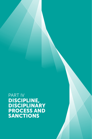PART IV DISCIPLINE, DISCIPLINARY PROCESS AND SANCTIONS

PETRONAS CODE OF CONDUCT AND BUSINESS ETHICS 41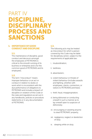# PART IV DISCIPLINE, DISCIPLINARY PROCESS AND SANCTIONS

#### 1. IMPORTANCE OF GOOD CONDUCT AND DISCIPLINE

#### 1.1.

The maintenance of discipline, good conduct and decorum amongst the employees of PETRONAS is critical to the smooth running of its business or enterprise and is for the common good of PETRONAS and its employees.

#### 1.2.

The term "misconduct" means improper behaviour or an act or conduct in relation to duties or work which is inconsistent with the due performance of obligations to PETRONAS and includes a breach of discipline or violation of this Code or the rules and regulations as set out in any handbooks, policies or procedure statements or in any documentation of PETRONAS.

#### 1.3.

The following acts may be treated as misconduct for which a person covered by this Code may be liable for disciplinary action, subject to the requirements of applicable law:

- i. insubordination;
- ii. tardiness;
- iii. absenteeism;
- iv. violent behaviour or threats of violent behaviour (includes assaults and fighting, whether with employees, clients, contractors, or visitors to PETRONAS premises);
- v. theft, fraud, misappropriation;
- vi. being dishonest or conducting oneself in such a manner as to lay oneself open to suspicion of dishonesty;
- vii. encouraging or assisting anyone to steal PETRONAS' property;
- viii. negligence, neglect or dereliction of duty;
- ix. sleeping while on duty;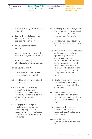Duties of Good Faith, Fidelity, Diligence and **Integrity** 

Workplace Culture and **Discipline, Environment** 

Disciplinary Process and Sanctions

- x. deliberate damage to PETRONAS' property;
- xi. leaving the workplace during working hours without appropriate permission;
- xii. sexual impropriety at the workplace;
- xiii. drug or alcohol abuse on the job or that afects your performance;
- xiv. signing in or signing out attendance for other employees;
- xv. sexual harassment;
- xvi. obstructing other employees from performing their duties;
- xvii. gambling within the premise of PETRONAS;
- xviii. non-observance of safety precautions or rules, or interfering or tampering with any safety devices installed in or about the premises of PETRONAS;
- xix. engaging in any illegal or unethical practices such as taking or giving bribes or receiving any illegal gratification whether in monetary terms or otherwise;
- xx. engaging in other employment/ business whilst in the service of PETRONAS, without the permission of PETRONAS;
- xxi. any act which could adversely afect the image or reputation of PETRONAS;
- xxii. misuse of PETRONAS' computer and telecommunications systems (e.g., excessive accessing of non-work related internet sites (such as social networking websites), accessing of pornographic sites and deliberate tampering with or unauthorised use of computer hardware or software);
- xxiii. violating local laws concerning the protection of the privacy of personal data of PETRONAS employees;
- xxiv. taking retaliatory actions against persons in situations where they are protected by the PETRONAS Whistleblowing Policy;
- xxv. conducting themselves in a manner that can be reasonably construed as lacking in efficiency;
- xxvi. breaching any policies or prohibitions set out within this Code;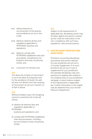- xxvii. taking measures in circumvention of the policies and prohibitions set out in this Code;
- xxviii. failing to observe all laws and regulations applicable to PETRONAS' business and operations;
- xxix. failing to comply with PETRONAS established rules and procedures, including but not limited to the limits of authority (LOAs); and
- xxx. conviction of criminal court.

#### 1.4.

The above list of types of misconduct is not to be taken as exhaustive and, for the avoidance of doubt, the said list does not detract from the meaning of misconduct as set out in Section 1.2 of Part IV above.

#### 1.5.

Without limitation upon the foregoing, a person covered by this Code will strictly:-

a) observe all statutory laws and regulations applicable to PETRONAS'

business and operations; and

b) comply with PETRONAS established rules and procedures, including but not limited to limits of authority  $(1 \bigcirc As)$ .

#### 1.6.

Subject to the requirements of applicable law, disciplinary action may be taken against any person covered by this Code for misconduct or for non-compliance with such laws, regulations, rules and procedures.

#### 2. DISCIPLINARY PROCESS AND **SANCTIONS**

Provisions concerning disciplinary procedures and actions relevant for your jurisdiction are set out in a Country Supplement. If no such provisions are set out in such a supplement for your jurisdiction, the standard disciplinary rules and practices for dealing with violations of company policy in your jurisdiction will apply, in every instance subject to the requirements of applicable law. Further information in this regard may be obtained from your Human Resource Department.